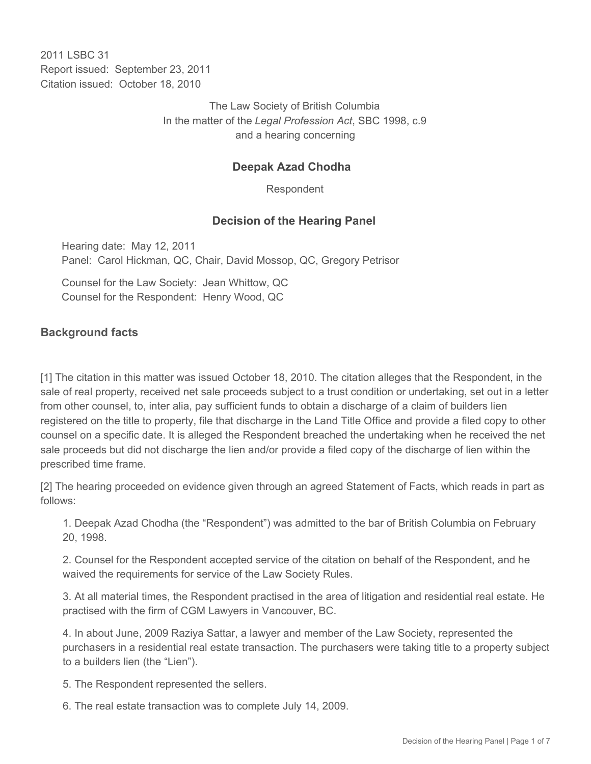2011 I SBC 31 Report issued: September 23, 2011 Citation issued: October 18, 2010

> The Law Society of British Columbia In the matter of the *Legal Profession Act*, SBC 1998, c.9 and a hearing concerning

### **Deepak Azad Chodha**

Respondent

#### **Decision of the Hearing Panel**

Hearing date: May 12, 2011 Panel: Carol Hickman, QC, Chair, David Mossop, QC, Gregory Petrisor

Counsel for the Law Society: Jean Whittow, QC Counsel for the Respondent: Henry Wood, QC

#### **Background facts**

[1] The citation in this matter was issued October 18, 2010. The citation alleges that the Respondent, in the sale of real property, received net sale proceeds subject to a trust condition or undertaking, set out in a letter from other counsel, to, inter alia, pay sufficient funds to obtain a discharge of a claim of builders lien registered on the title to property, file that discharge in the Land Title Office and provide a filed copy to other counsel on a specific date. It is alleged the Respondent breached the undertaking when he received the net sale proceeds but did not discharge the lien and/or provide a filed copy of the discharge of lien within the prescribed time frame.

[2] The hearing proceeded on evidence given through an agreed Statement of Facts, which reads in part as follows:

1. Deepak Azad Chodha (the "Respondent") was admitted to the bar of British Columbia on February 20, 1998.

2. Counsel for the Respondent accepted service of the citation on behalf of the Respondent, and he waived the requirements for service of the Law Society Rules.

3. At all material times, the Respondent practised in the area of litigation and residential real estate. He practised with the firm of CGM Lawyers in Vancouver, BC.

4. In about June, 2009 Raziya Sattar, a lawyer and member of the Law Society, represented the purchasers in a residential real estate transaction. The purchasers were taking title to a property subject to a builders lien (the "Lien").

5. The Respondent represented the sellers.

6. The real estate transaction was to complete July 14, 2009.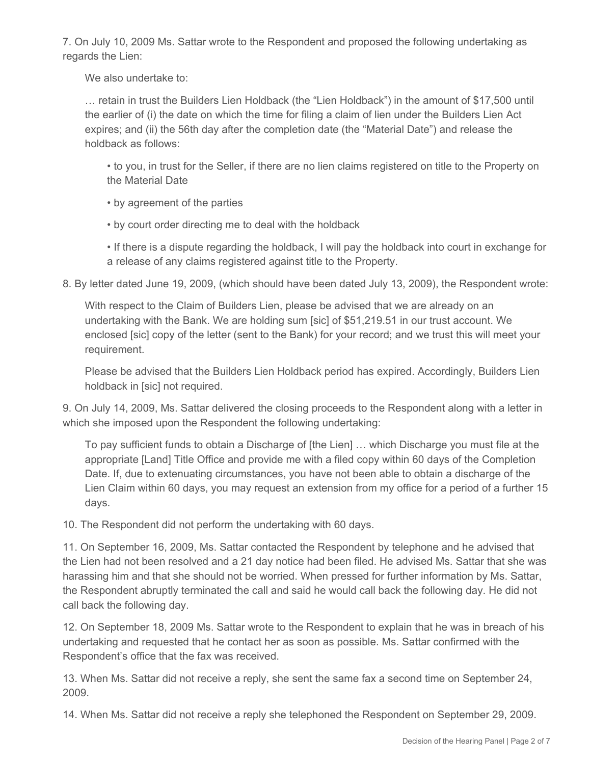7. On July 10, 2009 Ms. Sattar wrote to the Respondent and proposed the following undertaking as regards the Lien:

We also undertake to:

… retain in trust the Builders Lien Holdback (the "Lien Holdback") in the amount of \$17,500 until the earlier of (i) the date on which the time for filing a claim of lien under the Builders Lien Act expires; and (ii) the 56th day after the completion date (the "Material Date") and release the holdback as follows:

• to you, in trust for the Seller, if there are no lien claims registered on title to the Property on the Material Date

• by agreement of the parties

• by court order directing me to deal with the holdback

• If there is a dispute regarding the holdback, I will pay the holdback into court in exchange for a release of any claims registered against title to the Property.

8. By letter dated June 19, 2009, (which should have been dated July 13, 2009), the Respondent wrote:

With respect to the Claim of Builders Lien, please be advised that we are already on an undertaking with the Bank. We are holding sum [sic] of \$51,219.51 in our trust account. We enclosed [sic] copy of the letter (sent to the Bank) for your record; and we trust this will meet your requirement.

Please be advised that the Builders Lien Holdback period has expired. Accordingly, Builders Lien holdback in [sic] not required.

9. On July 14, 2009, Ms. Sattar delivered the closing proceeds to the Respondent along with a letter in which she imposed upon the Respondent the following undertaking:

To pay sufficient funds to obtain a Discharge of [the Lien] … which Discharge you must file at the appropriate [Land] Title Office and provide me with a filed copy within 60 days of the Completion Date. If, due to extenuating circumstances, you have not been able to obtain a discharge of the Lien Claim within 60 days, you may request an extension from my office for a period of a further 15 days.

10. The Respondent did not perform the undertaking with 60 days.

11. On September 16, 2009, Ms. Sattar contacted the Respondent by telephone and he advised that the Lien had not been resolved and a 21 day notice had been filed. He advised Ms. Sattar that she was harassing him and that she should not be worried. When pressed for further information by Ms. Sattar, the Respondent abruptly terminated the call and said he would call back the following day. He did not call back the following day.

12. On September 18, 2009 Ms. Sattar wrote to the Respondent to explain that he was in breach of his undertaking and requested that he contact her as soon as possible. Ms. Sattar confirmed with the Respondent's office that the fax was received.

13. When Ms. Sattar did not receive a reply, she sent the same fax a second time on September 24, 2009.

14. When Ms. Sattar did not receive a reply she telephoned the Respondent on September 29, 2009.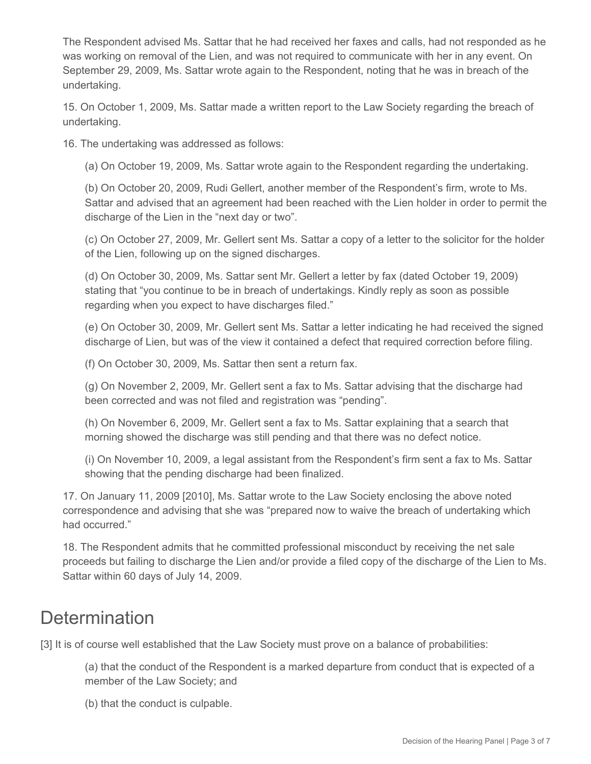The Respondent advised Ms. Sattar that he had received her faxes and calls, had not responded as he was working on removal of the Lien, and was not required to communicate with her in any event. On September 29, 2009, Ms. Sattar wrote again to the Respondent, noting that he was in breach of the undertaking.

15. On October 1, 2009, Ms. Sattar made a written report to the Law Society regarding the breach of undertaking.

16. The undertaking was addressed as follows:

(a) On October 19, 2009, Ms. Sattar wrote again to the Respondent regarding the undertaking.

(b) On October 20, 2009, Rudi Gellert, another member of the Respondent's firm, wrote to Ms. Sattar and advised that an agreement had been reached with the Lien holder in order to permit the discharge of the Lien in the "next day or two".

(c) On October 27, 2009, Mr. Gellert sent Ms. Sattar a copy of a letter to the solicitor for the holder of the Lien, following up on the signed discharges.

(d) On October 30, 2009, Ms. Sattar sent Mr. Gellert a letter by fax (dated October 19, 2009) stating that "you continue to be in breach of undertakings. Kindly reply as soon as possible regarding when you expect to have discharges filed."

(e) On October 30, 2009, Mr. Gellert sent Ms. Sattar a letter indicating he had received the signed discharge of Lien, but was of the view it contained a defect that required correction before filing.

(f) On October 30, 2009, Ms. Sattar then sent a return fax.

(g) On November 2, 2009, Mr. Gellert sent a fax to Ms. Sattar advising that the discharge had been corrected and was not filed and registration was "pending".

(h) On November 6, 2009, Mr. Gellert sent a fax to Ms. Sattar explaining that a search that morning showed the discharge was still pending and that there was no defect notice.

(i) On November 10, 2009, a legal assistant from the Respondent's firm sent a fax to Ms. Sattar showing that the pending discharge had been finalized.

17. On January 11, 2009 [2010], Ms. Sattar wrote to the Law Society enclosing the above noted correspondence and advising that she was "prepared now to waive the breach of undertaking which had occurred."

18. The Respondent admits that he committed professional misconduct by receiving the net sale proceeds but failing to discharge the Lien and/or provide a filed copy of the discharge of the Lien to Ms. Sattar within 60 days of July 14, 2009.

# **Determination**

[3] It is of course well established that the Law Society must prove on a balance of probabilities:

(a) that the conduct of the Respondent is a marked departure from conduct that is expected of a member of the Law Society; and

(b) that the conduct is culpable.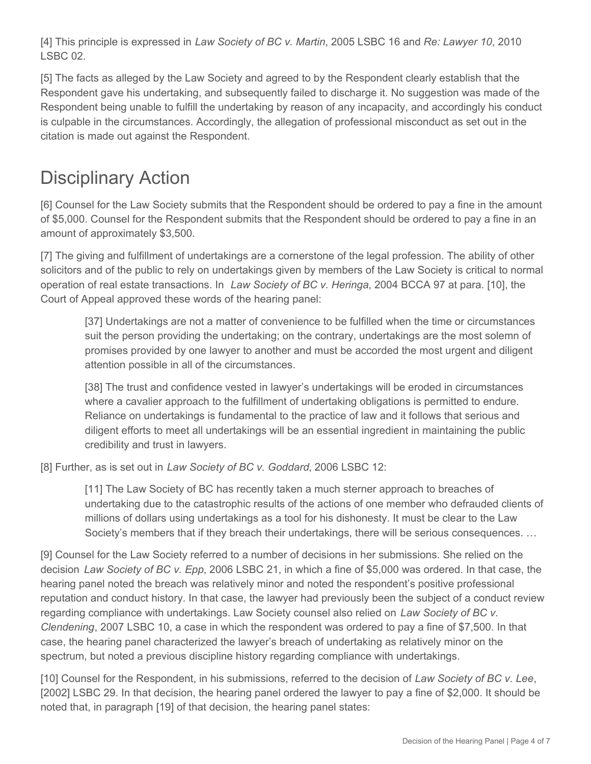[4] This principle is expressed in *Law Society of BC v. Martin*, 2005 LSBC 16 and *Re: Lawyer 10*, 2010 LSBC 02.

[5] The facts as alleged by the Law Society and agreed to by the Respondent clearly establish that the Respondent gave his undertaking, and subsequently failed to discharge it. No suggestion was made of the Respondent being unable to fulfill the undertaking by reason of any incapacity, and accordingly his conduct is culpable in the circumstances. Accordingly, the allegation of professional misconduct as set out in the citation is made out against the Respondent.

# Disciplinary Action

[6] Counsel for the Law Society submits that the Respondent should be ordered to pay a fine in the amount of \$5,000. Counsel for the Respondent submits that the Respondent should be ordered to pay a fine in an amount of approximately \$3,500.

[7] The giving and fulfillment of undertakings are a cornerstone of the legal profession. The ability of other solicitors and of the public to rely on undertakings given by members of the Law Society is critical to normal operation of real estate transactions. In *Law Society of BC v. Heringa*, 2004 BCCA 97 at para. [10], the Court of Appeal approved these words of the hearing panel:

[37] Undertakings are not a matter of convenience to be fulfilled when the time or circumstances suit the person providing the undertaking; on the contrary, undertakings are the most solemn of promises provided by one lawyer to another and must be accorded the most urgent and diligent attention possible in all of the circumstances.

[38] The trust and confidence vested in lawyer's undertakings will be eroded in circumstances where a cavalier approach to the fulfillment of undertaking obligations is permitted to endure. Reliance on undertakings is fundamental to the practice of law and it follows that serious and diligent efforts to meet all undertakings will be an essential ingredient in maintaining the public credibility and trust in lawyers.

[8] Further, as is set out in *Law Society of BC v. Goddard*, 2006 LSBC 12:

[11] The Law Society of BC has recently taken a much sterner approach to breaches of undertaking due to the catastrophic results of the actions of one member who defrauded clients of millions of dollars using undertakings as a tool for his dishonesty. It must be clear to the Law Society's members that if they breach their undertakings, there will be serious consequences. …

[9] Counsel for the Law Society referred to a number of decisions in her submissions. She relied on the decision *Law Society of BC v. Epp*, 2006 LSBC 21, in which a fine of \$5,000 was ordered. In that case, the hearing panel noted the breach was relatively minor and noted the respondent's positive professional reputation and conduct history. In that case, the lawyer had previously been the subject of a conduct review regarding compliance with undertakings. Law Society counsel also relied on *Law Society of BC v. Clendening*, 2007 LSBC 10, a case in which the respondent was ordered to pay a fine of \$7,500. In that case, the hearing panel characterized the lawyer's breach of undertaking as relatively minor on the spectrum, but noted a previous discipline history regarding compliance with undertakings.

[10] Counsel for the Respondent, in his submissions, referred to the decision of *Law Society of BC v. Lee*, [2002] LSBC 29. In that decision, the hearing panel ordered the lawyer to pay a fine of \$2,000. It should be noted that, in paragraph [19] of that decision, the hearing panel states: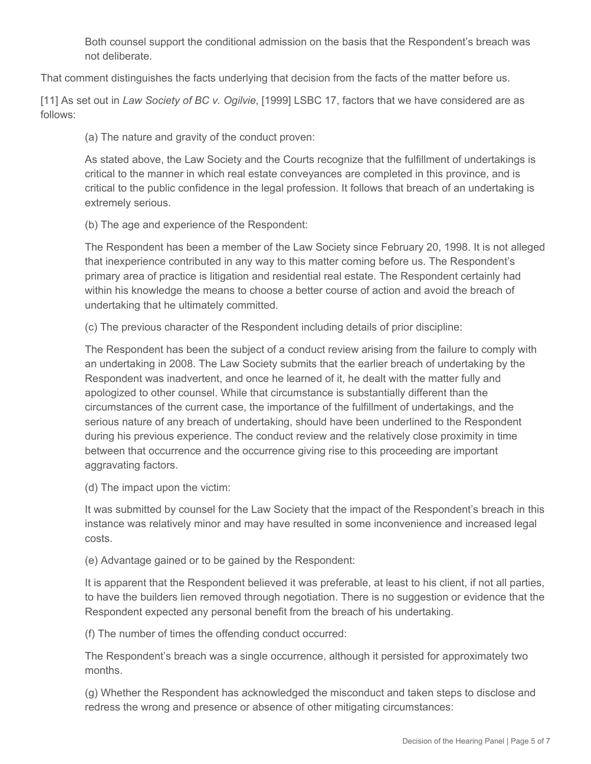Both counsel support the conditional admission on the basis that the Respondent's breach was not deliberate.

That comment distinguishes the facts underlying that decision from the facts of the matter before us.

[11] As set out in *Law Society of BC v. Ogilvie*, [1999] LSBC 17, factors that we have considered are as follows:

(a) The nature and gravity of the conduct proven:

As stated above, the Law Society and the Courts recognize that the fulfillment of undertakings is critical to the manner in which real estate conveyances are completed in this province, and is critical to the public confidence in the legal profession. It follows that breach of an undertaking is extremely serious.

(b) The age and experience of the Respondent:

The Respondent has been a member of the Law Society since February 20, 1998. It is not alleged that inexperience contributed in any way to this matter coming before us. The Respondent's primary area of practice is litigation and residential real estate. The Respondent certainly had within his knowledge the means to choose a better course of action and avoid the breach of undertaking that he ultimately committed.

(c) The previous character of the Respondent including details of prior discipline:

The Respondent has been the subject of a conduct review arising from the failure to comply with an undertaking in 2008. The Law Society submits that the earlier breach of undertaking by the Respondent was inadvertent, and once he learned of it, he dealt with the matter fully and apologized to other counsel. While that circumstance is substantially different than the circumstances of the current case, the importance of the fulfillment of undertakings, and the serious nature of any breach of undertaking, should have been underlined to the Respondent during his previous experience. The conduct review and the relatively close proximity in time between that occurrence and the occurrence giving rise to this proceeding are important aggravating factors.

(d) The impact upon the victim:

It was submitted by counsel for the Law Society that the impact of the Respondent's breach in this instance was relatively minor and may have resulted in some inconvenience and increased legal costs.

(e) Advantage gained or to be gained by the Respondent:

It is apparent that the Respondent believed it was preferable, at least to his client, if not all parties, to have the builders lien removed through negotiation. There is no suggestion or evidence that the Respondent expected any personal benefit from the breach of his undertaking.

(f) The number of times the offending conduct occurred:

The Respondent's breach was a single occurrence, although it persisted for approximately two months.

(g) Whether the Respondent has acknowledged the misconduct and taken steps to disclose and redress the wrong and presence or absence of other mitigating circumstances: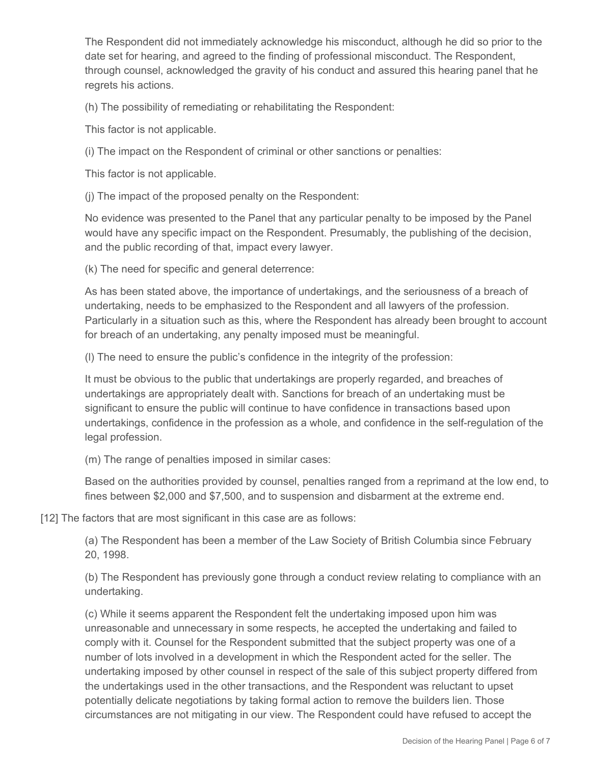The Respondent did not immediately acknowledge his misconduct, although he did so prior to the date set for hearing, and agreed to the finding of professional misconduct. The Respondent, through counsel, acknowledged the gravity of his conduct and assured this hearing panel that he regrets his actions.

(h) The possibility of remediating or rehabilitating the Respondent:

This factor is not applicable.

(i) The impact on the Respondent of criminal or other sanctions or penalties:

This factor is not applicable.

(j) The impact of the proposed penalty on the Respondent:

No evidence was presented to the Panel that any particular penalty to be imposed by the Panel would have any specific impact on the Respondent. Presumably, the publishing of the decision, and the public recording of that, impact every lawyer.

(k) The need for specific and general deterrence:

As has been stated above, the importance of undertakings, and the seriousness of a breach of undertaking, needs to be emphasized to the Respondent and all lawyers of the profession. Particularly in a situation such as this, where the Respondent has already been brought to account for breach of an undertaking, any penalty imposed must be meaningful.

(l) The need to ensure the public's confidence in the integrity of the profession:

It must be obvious to the public that undertakings are properly regarded, and breaches of undertakings are appropriately dealt with. Sanctions for breach of an undertaking must be significant to ensure the public will continue to have confidence in transactions based upon undertakings, confidence in the profession as a whole, and confidence in the self-regulation of the legal profession.

(m) The range of penalties imposed in similar cases:

Based on the authorities provided by counsel, penalties ranged from a reprimand at the low end, to fines between \$2,000 and \$7,500, and to suspension and disbarment at the extreme end.

[12] The factors that are most significant in this case are as follows:

(a) The Respondent has been a member of the Law Society of British Columbia since February 20, 1998.

(b) The Respondent has previously gone through a conduct review relating to compliance with an undertaking.

(c) While it seems apparent the Respondent felt the undertaking imposed upon him was unreasonable and unnecessary in some respects, he accepted the undertaking and failed to comply with it. Counsel for the Respondent submitted that the subject property was one of a number of lots involved in a development in which the Respondent acted for the seller. The undertaking imposed by other counsel in respect of the sale of this subject property differed from the undertakings used in the other transactions, and the Respondent was reluctant to upset potentially delicate negotiations by taking formal action to remove the builders lien. Those circumstances are not mitigating in our view. The Respondent could have refused to accept the